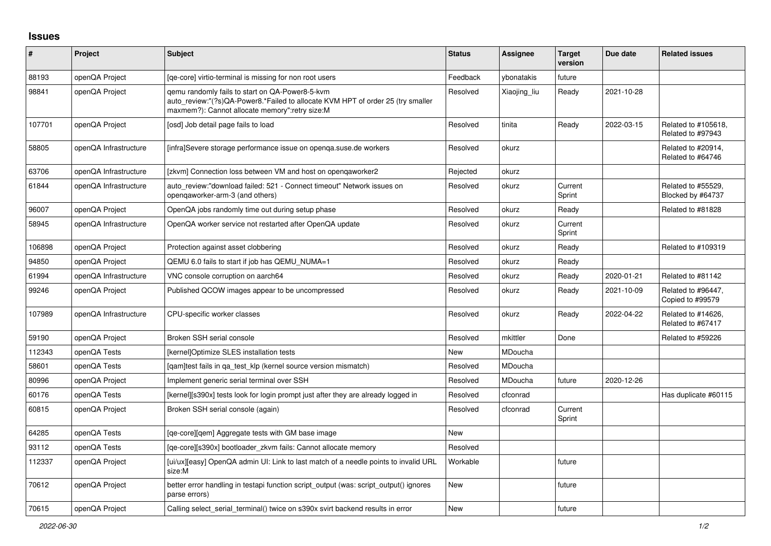## **Issues**

| #      | Project               | Subject                                                                                                                                                                              | <b>Status</b> | <b>Assignee</b> | <b>Target</b><br>version | Due date   | <b>Related issues</b>                    |
|--------|-----------------------|--------------------------------------------------------------------------------------------------------------------------------------------------------------------------------------|---------------|-----------------|--------------------------|------------|------------------------------------------|
| 88193  | openQA Project        | [ge-core] virtio-terminal is missing for non root users                                                                                                                              | Feedback      | vbonatakis      | future                   |            |                                          |
| 98841  | openQA Project        | gemu randomly fails to start on QA-Power8-5-kvm<br>auto_review:"(?s)QA-Power8.*Failed to allocate KVM HPT of order 25 (try smaller<br>maxmem?): Cannot allocate memory":retry size:M | Resolved      | Xiaojing liu    | Ready                    | 2021-10-28 |                                          |
| 107701 | openQA Project        | [osd] Job detail page fails to load                                                                                                                                                  | Resolved      | tinita          | Ready                    | 2022-03-15 | Related to #105618,<br>Related to #97943 |
| 58805  | openQA Infrastructure | [infra]Severe storage performance issue on openga.suse.de workers                                                                                                                    | Resolved      | okurz           |                          |            | Related to #20914,<br>Related to #64746  |
| 63706  | openQA Infrastructure | [zkvm] Connection loss between VM and host on opengaworker2                                                                                                                          | Rejected      | okurz           |                          |            |                                          |
| 61844  | openQA Infrastructure | auto review:"download failed: 521 - Connect timeout" Network issues on<br>opengaworker-arm-3 (and others)                                                                            | Resolved      | okurz           | Current<br>Sprint        |            | Related to #55529.<br>Blocked by #64737  |
| 96007  | openQA Project        | OpenQA jobs randomly time out during setup phase                                                                                                                                     | Resolved      | okurz           | Ready                    |            | Related to #81828                        |
| 58945  | openQA Infrastructure | OpenQA worker service not restarted after OpenQA update                                                                                                                              | Resolved      | okurz           | Current<br>Sprint        |            |                                          |
| 106898 | openQA Project        | Protection against asset clobbering                                                                                                                                                  | Resolved      | okurz           | Ready                    |            | Related to #109319                       |
| 94850  | openQA Project        | QEMU 6.0 fails to start if job has QEMU NUMA=1                                                                                                                                       | Resolved      | okurz           | Ready                    |            |                                          |
| 61994  | openQA Infrastructure | VNC console corruption on aarch64                                                                                                                                                    | Resolved      | okurz           | Ready                    | 2020-01-21 | Related to #81142                        |
| 99246  | openQA Project        | Published QCOW images appear to be uncompressed                                                                                                                                      | Resolved      | okurz           | Ready                    | 2021-10-09 | Related to #96447,<br>Copied to #99579   |
| 107989 | openQA Infrastructure | CPU-specific worker classes                                                                                                                                                          | Resolved      | okurz           | Ready                    | 2022-04-22 | Related to #14626,<br>Related to #67417  |
| 59190  | openQA Project        | Broken SSH serial console                                                                                                                                                            | Resolved      | mkittler        | Done                     |            | Related to #59226                        |
| 112343 | openQA Tests          | [kernel]Optimize SLES installation tests                                                                                                                                             | New           | MDoucha         |                          |            |                                          |
| 58601  | openQA Tests          | [gam]test fails in ga test klp (kernel source version mismatch)                                                                                                                      | Resolved      | MDoucha         |                          |            |                                          |
| 80996  | openQA Project        | Implement generic serial terminal over SSH                                                                                                                                           | Resolved      | MDoucha         | future                   | 2020-12-26 |                                          |
| 60176  | openQA Tests          | [kernel][s390x] tests look for login prompt just after they are already logged in                                                                                                    | Resolved      | cfconrad        |                          |            | Has duplicate #60115                     |
| 60815  | openQA Project        | Broken SSH serial console (again)                                                                                                                                                    | Resolved      | cfconrad        | Current<br>Sprint        |            |                                          |
| 64285  | openQA Tests          | [qe-core][qem] Aggregate tests with GM base image                                                                                                                                    | New           |                 |                          |            |                                          |
| 93112  | openQA Tests          | [qe-core][s390x] bootloader zkvm fails: Cannot allocate memory                                                                                                                       | Resolved      |                 |                          |            |                                          |
| 112337 | openQA Project        | [ui/ux][easy] OpenQA admin UI: Link to last match of a needle points to invalid URL<br>size:M                                                                                        | Workable      |                 | future                   |            |                                          |
| 70612  | openQA Project        | better error handling in testapi function script output (was: script output() ignores<br>parse errors)                                                                               | New           |                 | future                   |            |                                          |
| 70615  | openQA Project        | Calling select serial terminal() twice on s390x svirt backend results in error                                                                                                       | <b>New</b>    |                 | future                   |            |                                          |